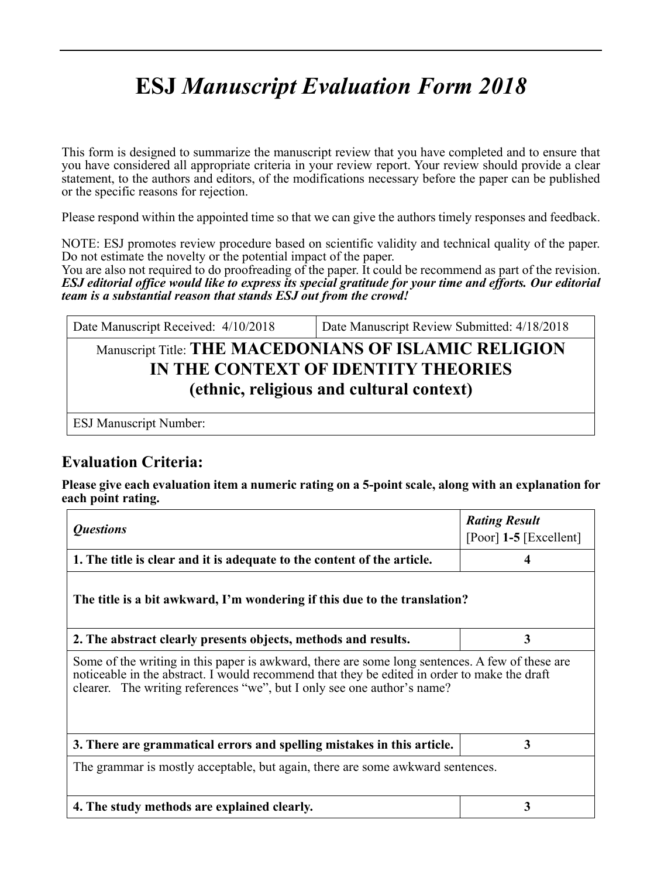# **ESJ** *Manuscript Evaluation Form 2018*

This form is designed to summarize the manuscript review that you have completed and to ensure that you have considered all appropriate criteria in your review report. Your review should provide a clear statement, to the authors and editors, of the modifications necessary before the paper can be published or the specific reasons for rejection.

Please respond within the appointed time so that we can give the authors timely responses and feedback.

NOTE: ESJ promotes review procedure based on scientific validity and technical quality of the paper. Do not estimate the novelty or the potential impact of the paper.

You are also not required to do proofreading of the paper. It could be recommend as part of the revision. *ESJ editorial office would like to express its special gratitude for your time and efforts. Our editorial team is a substantial reason that stands ESJ out from the crowd!*

| Date Manuscript Received: 4/10/2018                                             | Date Manuscript Review Submitted: 4/18/2018 |  |
|---------------------------------------------------------------------------------|---------------------------------------------|--|
| Manuscript Title: THE MACEDONIANS OF ISLAMIC RELIGION                           |                                             |  |
| IN THE CONTEXT OF IDENTITY THEORIES<br>(ethnic, religious and cultural context) |                                             |  |
|                                                                                 |                                             |  |

ESJ Manuscript Number:

## **Evaluation Criteria:**

**Please give each evaluation item a numeric rating on a 5-point scale, along with an explanation for each point rating.**

| <i><b>Questions</b></i>                                                                                                                                                                                                                                                    | <b>Rating Result</b><br>[Poor] $1-5$ [Excellent] |  |  |
|----------------------------------------------------------------------------------------------------------------------------------------------------------------------------------------------------------------------------------------------------------------------------|--------------------------------------------------|--|--|
| 1. The title is clear and it is adequate to the content of the article.                                                                                                                                                                                                    |                                                  |  |  |
| The title is a bit awkward, I'm wondering if this due to the translation?                                                                                                                                                                                                  |                                                  |  |  |
| 2. The abstract clearly presents objects, methods and results.                                                                                                                                                                                                             | 3                                                |  |  |
| Some of the writing in this paper is awkward, there are some long sentences. A few of these are<br>noticeable in the abstract. I would recommend that they be edited in order to make the draft<br>clearer. The writing references "we", but I only see one author's name? |                                                  |  |  |
| 3. There are grammatical errors and spelling mistakes in this article.                                                                                                                                                                                                     | 3                                                |  |  |
| The grammar is mostly acceptable, but again, there are some awkward sentences.                                                                                                                                                                                             |                                                  |  |  |
| 4. The study methods are explained clearly.                                                                                                                                                                                                                                | 3                                                |  |  |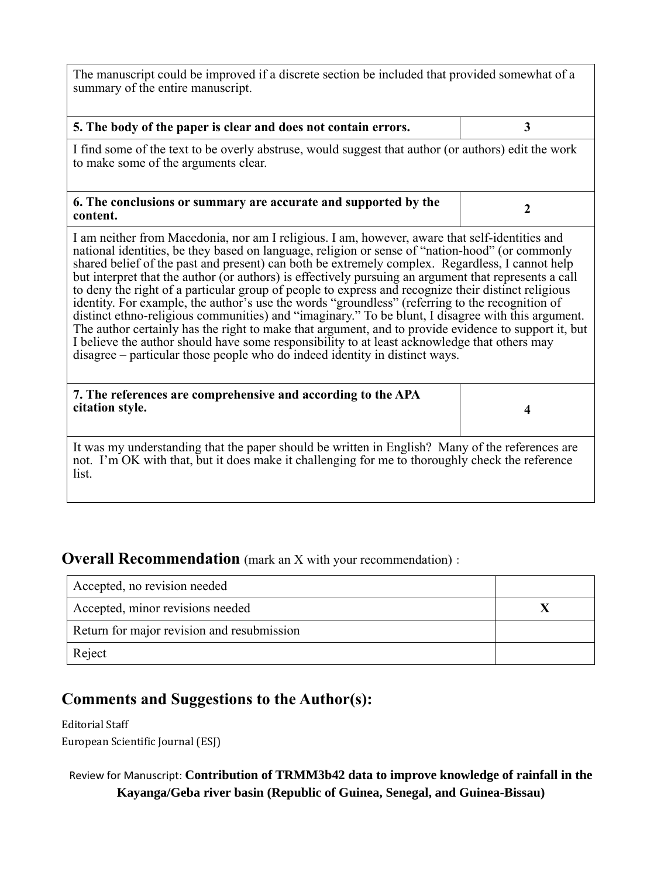The manuscript could be improved if a discrete section be included that provided somewhat of a summary of the entire manuscript.

| 5. The body of the paper is clear and does not contain errors.                                                                                                                                                                                                                                                                                                                                                                                                                                                                                                                                                                                                                                                                                                                                                                                                                                                                                                                                                       | 3                |  |
|----------------------------------------------------------------------------------------------------------------------------------------------------------------------------------------------------------------------------------------------------------------------------------------------------------------------------------------------------------------------------------------------------------------------------------------------------------------------------------------------------------------------------------------------------------------------------------------------------------------------------------------------------------------------------------------------------------------------------------------------------------------------------------------------------------------------------------------------------------------------------------------------------------------------------------------------------------------------------------------------------------------------|------------------|--|
| I find some of the text to be overly abstruse, would suggest that author (or authors) edit the work<br>to make some of the arguments clear.                                                                                                                                                                                                                                                                                                                                                                                                                                                                                                                                                                                                                                                                                                                                                                                                                                                                          |                  |  |
| 6. The conclusions or summary are accurate and supported by the<br>content.                                                                                                                                                                                                                                                                                                                                                                                                                                                                                                                                                                                                                                                                                                                                                                                                                                                                                                                                          | $\boldsymbol{2}$ |  |
| I am neither from Macedonia, nor am I religious. I am, however, aware that self-identities and<br>national identities, be they based on language, religion or sense of "nation-hood" (or commonly<br>shared belief of the past and present) can both be extremely complex. Regardless, I cannot help<br>but interpret that the author (or authors) is effectively pursuing an argument that represents a call<br>to deny the right of a particular group of people to express and recognize their distinct religious<br>identity. For example, the author's use the words "groundless" (referring to the recognition of<br>distinct ethno-religious communities) and "imaginary." To be blunt, I disagree with this argument.<br>The author certainly has the right to make that argument, and to provide evidence to support it, but<br>I believe the author should have some responsibility to at least acknowledge that others may<br>disagree – particular those people who do indeed identity in distinct ways. |                  |  |
| 7. The references are comprehensive and according to the APA<br>citation style.                                                                                                                                                                                                                                                                                                                                                                                                                                                                                                                                                                                                                                                                                                                                                                                                                                                                                                                                      | 4                |  |
| It was my understanding that the paper should be written in English? Many of the references are<br>not. I'm OK with that, but it does make it challenging for me to thoroughly check the reference<br>list.                                                                                                                                                                                                                                                                                                                                                                                                                                                                                                                                                                                                                                                                                                                                                                                                          |                  |  |

### **Overall Recommendation** (mark an X with your recommendation):

| Accepted, no revision needed               |  |
|--------------------------------------------|--|
| Accepted, minor revisions needed           |  |
| Return for major revision and resubmission |  |
| Reject                                     |  |

# **Comments and Suggestions to the Author(s):**

Editorial Staff European Scientific Journal (ESJ)

#### Review for Manuscript: **Contribution of TRMM3b42 data to improve knowledge of rainfall in the Kayanga/Geba river basin (Republic of Guinea, Senegal, and Guinea-Bissau)**